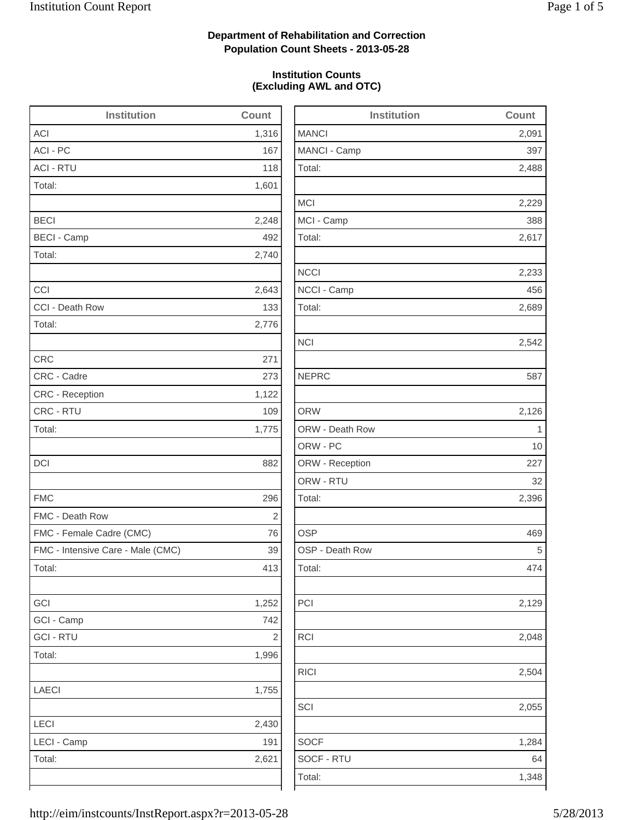2,488

2,229

2,617

2,233

2,689

2,542

2,126

2,396

2,129

2,048

2,504

1,284

### **Department of Rehabilitation and Correction Population Count Sheets - 2013-05-28**

#### **Institution Counts (Excluding AWL and OTC)**

| <b>Institution</b>                | Count      | <b>Institution</b> | Count       |
|-----------------------------------|------------|--------------------|-------------|
| ACI                               | 1,316      | <b>MANCI</b>       | 2,091       |
| ACI - PC                          | 167        | MANCI - Camp       | 397         |
| <b>ACI - RTU</b>                  | 118        | Total:             | 2,488       |
| Total:                            | 1,601      |                    |             |
|                                   |            | <b>MCI</b>         | 2,229       |
| <b>BECI</b>                       | 2,248      | MCI - Camp         | 388         |
| <b>BECI - Camp</b>                | 492        | Total:             | 2,617       |
| Total:                            | 2,740      |                    |             |
|                                   |            | <b>NCCI</b>        | 2,233       |
| CCI                               | 2,643      | NCCI - Camp        | 456         |
| CCI - Death Row                   | 133        | Total:             | 2,689       |
| Total:                            | 2,776      |                    |             |
|                                   |            | <b>NCI</b>         | 2,542       |
| <b>CRC</b>                        | 271        |                    |             |
| CRC - Cadre                       | 273        | <b>NEPRC</b>       | 587         |
| CRC - Reception                   | 1,122      |                    |             |
| CRC - RTU                         | 109        | <b>ORW</b>         | 2,126       |
| Total:                            | 1,775      | ORW - Death Row    | $\mathbf 1$ |
|                                   |            | ORW - PC           | 10          |
| <b>DCI</b>                        | 882        | ORW - Reception    | 227         |
|                                   |            | ORW - RTU          | 32          |
| <b>FMC</b>                        | 296        | Total:             | 2,396       |
| FMC - Death Row                   | $\sqrt{2}$ |                    |             |
| FMC - Female Cadre (CMC)          | 76         | <b>OSP</b>         | 469         |
| FMC - Intensive Care - Male (CMC) | 39         | OSP - Death Row    | 5           |
| Total:                            | 413        | Total:             | 474         |
| GCI                               | 1,252      | PCI                | 2,129       |
| GCI - Camp                        | 742        |                    |             |
| <b>GCI - RTU</b>                  | $\sqrt{2}$ | RCI                | 2,048       |
| Total:                            | 1,996      |                    |             |
|                                   |            | <b>RICI</b>        | 2,504       |
| LAECI                             | 1,755      |                    |             |
|                                   |            | SCI                | 2,055       |
| LECI                              | 2,430      |                    |             |
| LECI - Camp                       | 191        | <b>SOCF</b>        | 1,284       |
| Total:                            | 2,621      | SOCF - RTU         | 64          |
|                                   |            | Total:             | 1,348       |
|                                   |            |                    |             |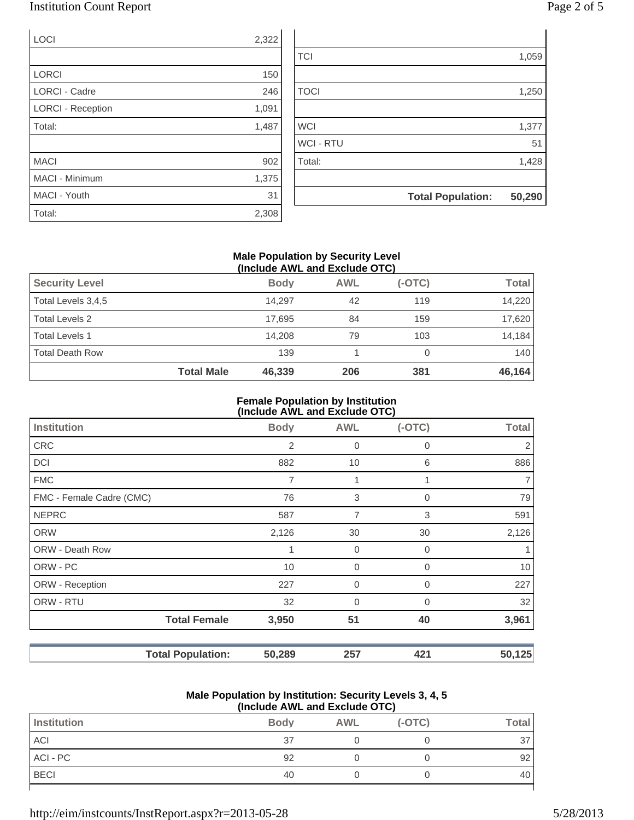### Institution Count Report Page 2 of 5

| 'age ∠ ot |  |  |  |
|-----------|--|--|--|
|-----------|--|--|--|

| LOCI                     | 2,322 |                  |                          |        |
|--------------------------|-------|------------------|--------------------------|--------|
|                          |       | <b>TCI</b>       |                          | 1,059  |
| <b>LORCI</b>             | 150   |                  |                          |        |
| <b>LORCI - Cadre</b>     | 246   | <b>TOCI</b>      |                          | 1,250  |
| <b>LORCI - Reception</b> | 1,091 |                  |                          |        |
| Total:                   | 1,487 | <b>WCI</b>       |                          | 1,377  |
|                          |       | <b>WCI - RTU</b> |                          | 51     |
| <b>MACI</b>              | 902   | Total:           |                          | 1,428  |
| MACI - Minimum           | 1,375 |                  |                          |        |
| MACI - Youth             | 31    |                  | <b>Total Population:</b> | 50,290 |
| Total:                   | 2,308 |                  |                          |        |

#### **Male Population by Security Level (Include AWL and Exclude OTC)**

| <b>Security Level</b>  |                   | <b>Body</b> | <b>AWL</b> | $(-OTC)$ | <b>Total</b> |
|------------------------|-------------------|-------------|------------|----------|--------------|
| Total Levels 3,4,5     |                   | 14.297      | 42         | 119      | 14,220       |
| <b>Total Levels 2</b>  |                   | 17.695      | 84         | 159      | 17,620       |
| <b>Total Levels 1</b>  |                   | 14.208      | 79         | 103      | 14,184       |
| <b>Total Death Row</b> |                   | 139         |            |          | 140          |
|                        | <b>Total Male</b> | 46,339      | 206        | 381      | 46,164       |

#### **Female Population by Institution (Include AWL and Exclude OTC)**

|                          |                          | $($ mclude $\pi$ ive and exclude $\sigma$ i $\sigma$ |                |             |              |
|--------------------------|--------------------------|------------------------------------------------------|----------------|-------------|--------------|
| <b>Institution</b>       |                          | <b>Body</b>                                          | <b>AWL</b>     | $(-OTC)$    | <b>Total</b> |
| <b>CRC</b>               |                          | 2                                                    | 0              | 0           | 2            |
| DCI                      |                          | 882                                                  | 10             | 6           | 886          |
| <b>FMC</b>               |                          | 7                                                    | 1              | 1           | 7            |
| FMC - Female Cadre (CMC) |                          | 76                                                   | 3              | 0           | 79           |
| <b>NEPRC</b>             |                          | 587                                                  | $\overline{7}$ | 3           | 591          |
| <b>ORW</b>               |                          | 2,126                                                | 30             | 30          | 2,126        |
| <b>ORW - Death Row</b>   |                          |                                                      | $\mathbf 0$    | $\Omega$    |              |
| ORW - PC                 |                          | 10                                                   | 0              | $\Omega$    | 10           |
| ORW - Reception          |                          | 227                                                  | 0              | 0           | 227          |
| ORW - RTU                |                          | 32                                                   | 0              | $\mathbf 0$ | 32           |
|                          | <b>Total Female</b>      | 3,950                                                | 51             | 40          | 3,961        |
|                          | <b>Total Population:</b> | 50,289                                               | 257            | 421         | 50,125       |

#### **Male Population by Institution: Security Levels 3, 4, 5 (Include AWL and Exclude OTC)**

| Institution | <b>Body</b> | <b>AWL</b> | $(-OTC)$ | <b>Total</b> |
|-------------|-------------|------------|----------|--------------|
| ACI         | 37          |            |          | 37           |
| ACI - PC    | 92          |            |          | 92           |
| <b>BECI</b> | 40          |            |          | 40           |
|             |             |            |          |              |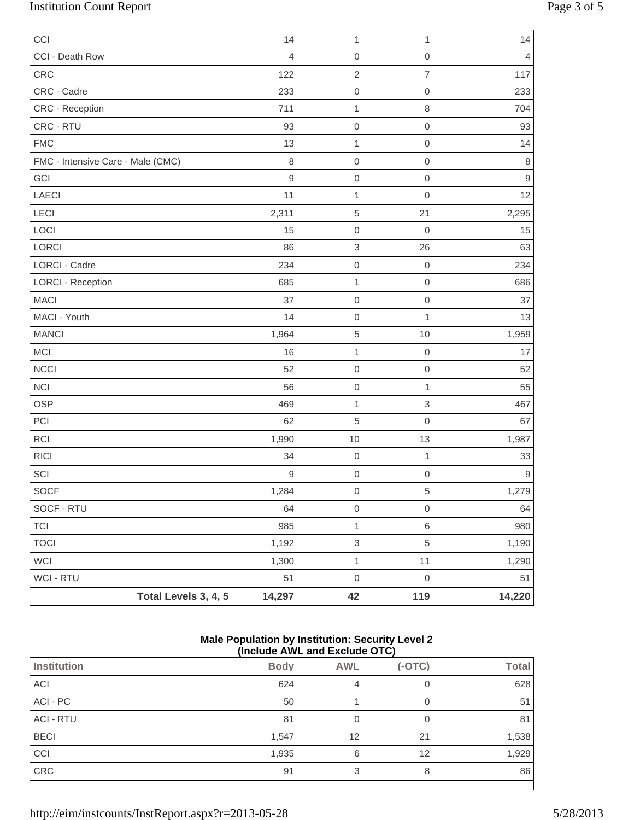# Institution Count Report Page 3 of 5

| CCI                               |                      | 14             | 1                         | 1                   | 14               |
|-----------------------------------|----------------------|----------------|---------------------------|---------------------|------------------|
| CCI - Death Row                   |                      | $\overline{4}$ | $\mathbf 0$               | $\mathsf{O}\xspace$ | $\overline{4}$   |
| CRC                               |                      | 122            | $\sqrt{2}$                | $\overline{7}$      | 117              |
| CRC - Cadre                       |                      | 233            | $\mathbf 0$               | $\mathbf 0$         | 233              |
| CRC - Reception                   |                      | 711            | $\mathbf 1$               | 8                   | 704              |
| CRC - RTU                         |                      | 93             | $\mathbf 0$               | $\mathsf{O}\xspace$ | 93               |
| <b>FMC</b>                        |                      | 13             | $\mathbf{1}$              | $\mathsf{O}\xspace$ | 14               |
| FMC - Intensive Care - Male (CMC) |                      | $\,8\,$        | $\mathbf 0$               | $\mathbf 0$         | $\,8\,$          |
| GCI                               |                      | $\hbox{9}$     | $\mathbf 0$               | $\mathsf{O}\xspace$ | $\mathsf 9$      |
| <b>LAECI</b>                      |                      | 11             | $\mathbf 1$               | $\mathsf{O}\xspace$ | 12               |
| LECI                              |                      | 2,311          | $\sqrt{5}$                | 21                  | 2,295            |
| LOCI                              |                      | 15             | $\mathbf 0$               | $\mathbf 0$         | 15               |
| LORCI                             |                      | 86             | $\ensuremath{\mathsf{3}}$ | 26                  | 63               |
| <b>LORCI - Cadre</b>              |                      | 234            | $\mathbf 0$               | $\mathbf 0$         | 234              |
| <b>LORCI - Reception</b>          |                      | 685            | $\mathbf{1}$              | $\mathbf 0$         | 686              |
| <b>MACI</b>                       |                      | 37             | $\mathbf 0$               | $\mathbf 0$         | 37               |
| MACI - Youth                      |                      | 14             | $\mathbf 0$               | $\mathbf{1}$        | 13               |
| <b>MANCI</b>                      |                      | 1,964          | $\,$ 5 $\,$               | $10$                | 1,959            |
| <b>MCI</b>                        |                      | 16             | $\mathbf 1$               | $\mathbf 0$         | 17               |
| <b>NCCI</b>                       |                      | 52             | $\mathbf 0$               | $\mathbf 0$         | 52               |
| <b>NCI</b>                        |                      | 56             | $\mathbf 0$               | 1                   | 55               |
| <b>OSP</b>                        |                      | 469            | $\mathbf{1}$              | 3                   | 467              |
| PCI                               |                      | 62             | $\sqrt{5}$                | $\mathbf 0$         | 67               |
| RCI                               |                      | 1,990          | 10                        | 13                  | 1,987            |
| <b>RICI</b>                       |                      | 34             | $\mathbf 0$               | $\mathbf{1}$        | 33               |
| SCI                               |                      | 9              | $\mathbf 0$               | $\mathbf 0$         | $\boldsymbol{9}$ |
| SOCF                              |                      | 1,284          | $\mathsf{O}\xspace$       | $\,$ 5 $\,$         | 1,279            |
| SOCF - RTU                        |                      | 64             | $\mbox{O}$                | $\mathsf{O}\xspace$ | 64               |
| <b>TCI</b>                        |                      | 985            | $\mathbf 1$               | 6                   | 980              |
| <b>TOCI</b>                       |                      | 1,192          | $\ensuremath{\mathsf{3}}$ | 5                   | 1,190            |
| WCI                               |                      | 1,300          | $\mathbf{1}$              | 11                  | 1,290            |
| WCI - RTU                         |                      | 51             | $\mbox{O}$                | $\mathbf 0$         | 51               |
|                                   | Total Levels 3, 4, 5 | 14,297         | 42                        | 119                 | 14,220           |

#### **Male Population by Institution: Security Level 2 (Include AWL and Exclude OTC)**

|                  | .           | _______    | - .      |              |
|------------------|-------------|------------|----------|--------------|
| Institution      | <b>Body</b> | <b>AWL</b> | $(-OTC)$ | <b>Total</b> |
| ACI              | 624         |            |          | 628          |
| ACI - PC         | 50          |            | 0        | 51           |
| <b>ACI - RTU</b> | 81          |            |          | 81           |
| <b>BECI</b>      | 1,547       | 12         | 21       | 1,538        |
| CCI              | 1,935       | 6          | 12       | 1,929        |
| CRC              | 91          |            | 8        | 86           |
|                  |             |            |          |              |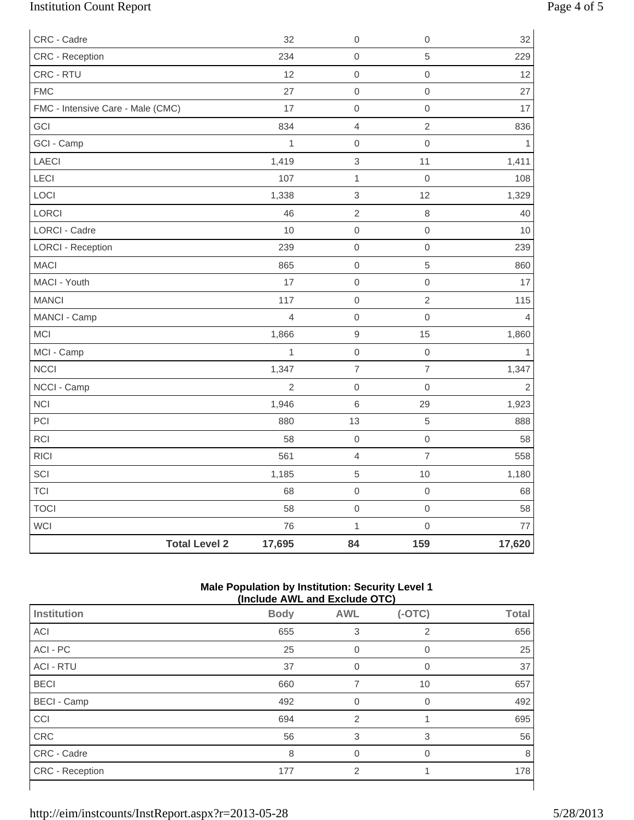# Institution Count Report Page 4 of 5

| CRC - Cadre                       |                      | 32             | $\mathbf 0$               | $\mbox{O}$          | 32             |
|-----------------------------------|----------------------|----------------|---------------------------|---------------------|----------------|
| CRC - Reception                   |                      | 234            | $\mathbf 0$               | $\sqrt{5}$          | 229            |
| CRC - RTU                         |                      | 12             | $\mbox{O}$                | $\mbox{O}$          | 12             |
| <b>FMC</b>                        |                      | 27             | $\mathbf 0$               | $\mathbf 0$         | 27             |
| FMC - Intensive Care - Male (CMC) |                      | 17             | $\mbox{O}$                | $\mbox{O}$          | 17             |
| GCI                               |                      | 834            | $\overline{4}$            | $\overline{2}$      | 836            |
| GCI - Camp                        |                      | $\mathbf{1}$   | $\boldsymbol{0}$          | $\mathsf{O}\xspace$ | 1              |
| <b>LAECI</b>                      |                      | 1,419          | $\ensuremath{\mathsf{3}}$ | 11                  | 1,411          |
| LECI                              |                      | 107            | $\mathbf{1}$              | $\mathbf 0$         | 108            |
| LOCI                              |                      | 1,338          | $\ensuremath{\mathsf{3}}$ | 12                  | 1,329          |
| LORCI                             |                      | 46             | $\overline{2}$            | $\,8\,$             | 40             |
| LORCI - Cadre                     |                      | 10             | $\mathbf 0$               | $\mathsf{O}\xspace$ | 10             |
| <b>LORCI - Reception</b>          |                      | 239            | $\mathbf 0$               | $\mbox{O}$          | 239            |
| <b>MACI</b>                       |                      | 865            | $\mbox{O}$                | $\sqrt{5}$          | 860            |
| MACI - Youth                      |                      | 17             | $\mbox{O}$                | $\mathsf{O}\xspace$ | 17             |
| <b>MANCI</b>                      |                      | 117            | $\mathbf 0$               | $\sqrt{2}$          | 115            |
| MANCI - Camp                      |                      | $\overline{4}$ | $\mathbf 0$               | $\mathbf 0$         | $\overline{4}$ |
| <b>MCI</b>                        |                      | 1,866          | $\mathsf g$               | 15                  | 1,860          |
| MCI - Camp                        |                      | $\mathbf{1}$   | $\mathbf 0$               | $\mbox{O}$          | $\mathbf{1}$   |
| NCCI                              |                      | 1,347          | $\overline{\mathcal{I}}$  | $\overline{7}$      | 1,347          |
| NCCI - Camp                       |                      | $\overline{2}$ | $\mathbf 0$               | $\mathbf 0$         | $\overline{2}$ |
| <b>NCI</b>                        |                      | 1,946          | $\,6\,$                   | 29                  | 1,923          |
| PCI                               |                      | 880            | 13                        | $\sqrt{5}$          | 888            |
| RCI                               |                      | 58             | $\mbox{O}$                | $\mbox{O}$          | 58             |
| <b>RICI</b>                       |                      | 561            | $\overline{4}$            | $\overline{7}$      | 558            |
| SCI                               |                      | 1,185          | $\,$ 5 $\,$               | 10                  | 1,180          |
| <b>TCI</b>                        |                      | 68             | $\mathbf 0$               | $\mathbf 0$         | 68             |
| <b>TOCI</b>                       |                      | 58             | $\mbox{O}$                | $\mathsf{O}\xspace$ | 58             |
| WCI                               |                      | 76             | $\mathbf{1}$              | $\mathsf{O}\xspace$ | 77             |
|                                   | <b>Total Level 2</b> | 17,695         | 84                        | 159                 | 17,620         |

#### **Male Population by Institution: Security Level 1 (Include AWL and Exclude OTC)**

|                        | (include AWL and Exclude OTC) |                |                  |              |  |
|------------------------|-------------------------------|----------------|------------------|--------------|--|
| <b>Institution</b>     | <b>Body</b>                   | <b>AWL</b>     | $(-OTC)$         | <b>Total</b> |  |
| ACI                    | 655                           | 3              | 2                | 656          |  |
| ACI - PC               | 25                            |                |                  | 25           |  |
| <b>ACI - RTU</b>       | 37                            | 0              | $\left( \right)$ | 37           |  |
| <b>BECI</b>            | 660                           |                | 10               | 657          |  |
| <b>BECI - Camp</b>     | 492                           | $\Omega$       |                  | 492          |  |
| CCI                    | 694                           | $\overline{2}$ |                  | 695          |  |
| CRC                    | 56                            | 3              | 3                | 56           |  |
| CRC - Cadre            | 8                             | $\Omega$       | $\Omega$         | 8            |  |
| <b>CRC</b> - Reception | 177                           | $\overline{2}$ |                  | 178          |  |

 $\lceil$ 

1